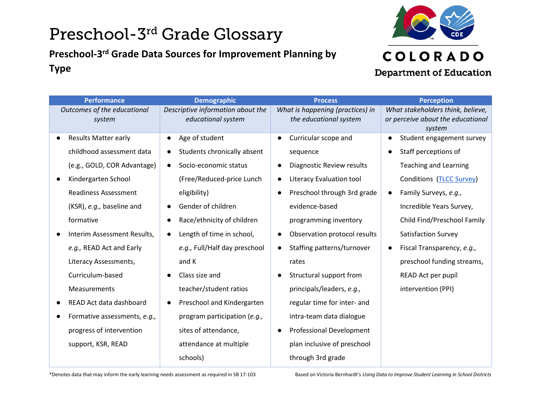# Preschool-3rd Grade Glossary

### **Preschool-3rd Grade Data Sources for Improvement Planning by Type**



| <b>Performance</b>           | <b>Demographic</b>                | <b>Process</b>                            | <b>Perception</b>                           |
|------------------------------|-----------------------------------|-------------------------------------------|---------------------------------------------|
| Outcomes of the educational  | Descriptive information about the | What is happening (practices) in          | What stakeholders think, believe,           |
| system                       | educational system                | the educational system                    | or perceive about the educational<br>system |
| <b>Results Matter early</b>  | Age of student                    | Curricular scope and<br>$\bullet$         | Student engagement survey<br>$\bullet$      |
| childhood assessment data    | Students chronically absent       | sequence                                  | Staff perceptions of<br>$\bullet$           |
| (e.g., GOLD, COR Advantage)  | Socio-economic status             | Diagnostic Review results<br>$\bullet$    | <b>Teaching and Learning</b>                |
| Kindergarten School          | (Free/Reduced-price Lunch         | Literacy Evaluation tool                  | Conditions (TLCC Survey)                    |
| <b>Readiness Assessment</b>  | eligibility)                      | Preschool through 3rd grade<br>$\bullet$  | Family Surveys, e.g.,<br>$\bullet$          |
| (KSR), e.g., baseline and    | Gender of children                | evidence-based                            | Incredible Years Survey,                    |
| formative                    | Race/ethnicity of children        | programming inventory                     | Child Find/Preschool Family                 |
| Interim Assessment Results,  | Length of time in school,         | Observation protocol results<br>$\bullet$ | <b>Satisfaction Survey</b>                  |
| e.g., READ Act and Early     | e.g., Full/Half day preschool     | Staffing patterns/turnover<br>$\bullet$   | Fiscal Transparency, e.g.,<br>$\bullet$     |
| Literacy Assessments,        | and K                             | rates                                     | preschool funding streams,                  |
| Curriculum-based             | Class size and                    | Structural support from                   | READ Act per pupil                          |
| Measurements                 | teacher/student ratios            | principals/leaders, e.g.,                 | intervention (PPI)                          |
| READ Act data dashboard      | Preschool and Kindergarten        | regular time for inter- and               |                                             |
| Formative assessments, e.g., | program participation (e.g.,      | intra-team data dialogue                  |                                             |
| progress of intervention     | sites of attendance,              | <b>Professional Development</b><br>٠      |                                             |
| support, KSR, READ           | attendance at multiple            | plan inclusive of preschool               |                                             |
|                              | schools)                          | through 3rd grade                         |                                             |

\*Denotes data that may inform the early learning needs assessment as required in SB 17-103 Based on Victoria Bernhardt's *Using Data to Improve Student Learning in School Districts*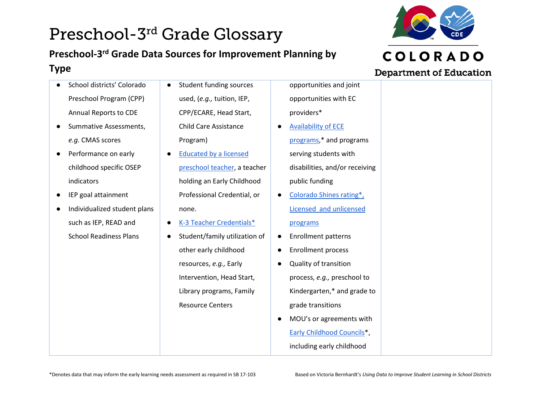## Preschool-3rd Grade Glossary **Preschool-3rd Grade Data Sources for Improvement Planning by Type**

- School districts' Colorado Preschool Program (CPP) Annual Reports to CDE
- Summative Assessments, *e.g.* CMAS scores
- Performance on early childhood specific OSEP indicators
- IEP goal attainment
- Individualized student plans such as IEP, READ and School Readiness Plans
- Student funding sources used, (*e.g.,* tuition, IEP, CPP/ECARE, Head Start, Child Care Assistance Program)
- Educated by a licensed [preschool teacher,](https://apps.colorado.gov/cde/licensing/Lookup/LicenseLookup.aspx) a teacher holding an Early Childhood Professional Credential, or none.
- [K-3 Teacher Credentials\\*](https://apps.colorado.gov/cde/licensing/Lookup/LicenseLookup.aspx)
	- Student/family utilization of other early childhood resources, *e.g.,* Early Intervention, Head Start, Library programs, Family Resource Centers
- opportunities and joint opportunities with EC providers\*
- [Availability of ECE](https://www.coloradoshines.com/search)  [programs,](https://www.coloradoshines.com/search)\* and programs serving students with disabilities, and/or receiving public funding
- Colorado Shines rating\*, [Licensed and unlicensed](https://www.coloradoshines.com/search)  [programs](https://www.coloradoshines.com/search)
- Enrollment patterns
- Enrollment process
- Quality of transition process, *e.g.,* preschool to Kindergarten,\* and grade to grade transitions
- MOU's or agreements with [Early Childhood Councils\\*](https://ecclacolorado.org/find-an-early-childhood-council/), including early childhood

#### **Department of Education**